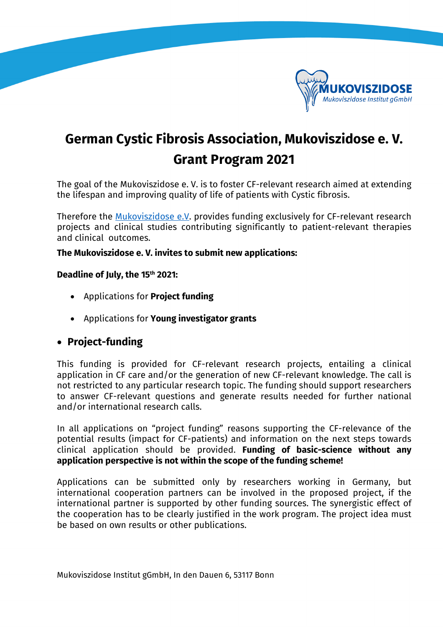

## **German Cystic Fibrosis Association, Mukoviszidose e. V. Grant Program 2021**

The goal of the Mukoviszidose e. V. is to foster CF-relevant research aimed at extending the lifespan and improving quality of life of patients with Cystic fibrosis.

Therefore the [Mukoviszidose e.V.](http://muko.info/english/mukoviszidose-ev.html) provides funding exclusively for CF-relevant research projects and clinical studies contributing significantly to patient-relevant therapies and clinical outcomes.

**The Mukoviszidose e. V. invites to submit new applications:** 

## **Deadline of July, the 15th 2021:**

- Applications for **Project funding**
- Applications for **Young investigator grants**

## • **Project-funding**

This funding is provided for CF-relevant research projects, entailing a clinical application in CF care and/or the generation of new CF-relevant knowledge. The call is not restricted to any particular research topic. The funding should support researchers to answer CF-relevant questions and generate results needed for further national and/or international research calls.

In all applications on "project funding" reasons supporting the CF-relevance of the potential results (impact for CF-patients) and information on the next steps towards clinical application should be provided. **Funding of basic-science without any application perspective is not within the scope of the funding scheme!** 

Applications can be submitted only by researchers working in Germany, but international cooperation partners can be involved in the proposed project, if the international partner is supported by other funding sources. The synergistic effect of the cooperation has to be clearly justified in the work program. The project idea must be based on own results or other publications.